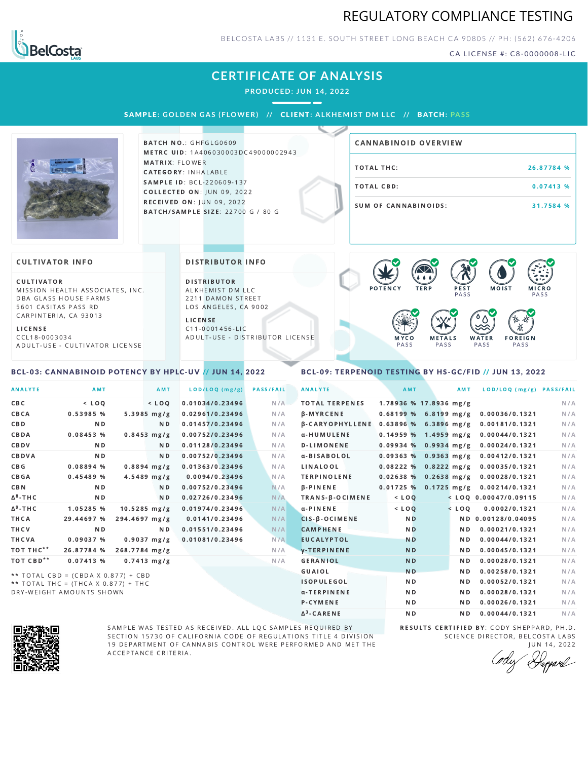# REGULATORY COMPLIANCE TESTING



BELCOSTA LABS // 1131 E. SOUTH STREET LONG BEACH C A 90805 // PH: (562) 676-4206

CA LICENSE #: C8-0000008-LIC

### **CERTIFICATE OF ANALYSIS**

**PRODUCED: JUN 14, 2022**

SAMPL E **: GOLDEN GA S ( F LOWER) //** CL I ENT**: A LKHEMI ST DM L LC //** BATCH**: PA S S**



BATCH NO.: GHFGLG0609 METRC UID: 1A406030003DC49000002943 MATRIX: FLOWER CATEGORY: INHALABLE SAMPLE ID: BCL-220609-137 **COLLECTED ON: JUN 09, 2022** RECEIVED ON: JUN 09, 2022 BATCH/SAMPLE SIZE: 22700 G / 80 G

# TOTAL THC: 26.87784 % TOTAL CBD: 0.07413 % SUM OF CANNABINOIDS: 31.7584 % CANNABINOID OVERVIEW

#### **CULTIVATOR INFO**

CULTIVATOR MISSION HEALTH ASSOCIATES, INC. DBA GLASS HOUSE FARMS 5601 CASITAS PASS RD CARPINTERIA, CA 93013

L I C E N S E

C C L 1 8 - 0 0 0 3 0 3 4 A D U L T - U S E - C U L T I V A T O R L I CENSE

<span id="page-0-0"></span>BCL-03: CANNABINOID POTENCY BY HPLC-UV // JUN 14, 2022

DISTRIBUTOR INFO

D I STRIBUTOR ALKHEMIST DM LLC 2211 DAMON STREET LOS ANGELES, CA 9002

L I C E N S E C 1 1 - 0 0 0 1 4 5 6 - L I C A D U L T - U S E - D I STRIBUTOR LICENSE



#### <span id="page-0-1"></span>BCL-09: TERPENOID TESTING BY HS-GC/FID // JUN 13, 2022

| <b>ANALYTE</b>        | AMT                                                                        |                | AMT<br>LOD/LOQ (mg/g)             | <b>PASS/FAIL</b> | <b>ANALYTE</b>         | AMT            | <b>AMT</b>                | LOD/LOQ (mg/g) PASS/FAIL       |     |
|-----------------------|----------------------------------------------------------------------------|----------------|-----------------------------------|------------------|------------------------|----------------|---------------------------|--------------------------------|-----|
| C B C                 | $<$ LOQ                                                                    | $<$ LOQ        | 0.01034/0.23496                   | N/A              | <b>TOTAL TERPENES</b>  |                | 1.78936 % 17.8936 mg/g    |                                | N/A |
| CBCA                  | 0.53985 %                                                                  | $5.3985$ mg/g  | 0.02961/0.23496                   | N/A              | <b>B-MYRCENE</b>       |                | $0.68199%$ 6.8199 mg/g    | 0.00036/0.1321                 | N/A |
| CBD                   | N <sub>D</sub>                                                             |                | 0.01457/0.23496<br>N <sub>D</sub> | N/A              | <b>B-CARYOPHYLLENE</b> |                | $0.63896%$ 6.3896 mg/g    | 0.00181/0.1321                 | N/A |
| CBDA                  | 0.08453%                                                                   | $0.8453$ mg/g  | 0.00752/0.23496                   | N/A              | α-HUMULENE             |                | $0.14959\%$ 1.4959 mg/g   | 0.00044/0.1321                 | N/A |
| CBDV                  | N <sub>D</sub>                                                             |                | 0.01128/0.23496<br>N D            | N/A              | <b>D-LIMONENE</b>      |                | $0.09934$ % 0.9934 mg/g   | 0.00024/0.1321                 | N/A |
| CBDVA                 | N <sub>D</sub>                                                             |                | N <sub>D</sub><br>0.00752/0.23496 | N/A              | α-BISABOLOL            |                | $0.09363$ % 0.9363 mg/g   | 0.00412/0.1321                 | N/A |
| C B G                 | 0.08894 %                                                                  | $0.8894$ mg/g  | 0.01363/0.23496                   | N/A              | LINALOOL               |                | $0.08222$ % $0.8222$ mg/g | 0.00035/0.1321                 | N/A |
| <b>CBGA</b>           | 0.45489%                                                                   | $4.5489$ mg/g  | 0.0094/0.23496                    | N/A              | <b>TERPINOLENE</b>     |                | $0.02638%$ 0.2638 mg/g    | 0.00028/0.1321                 | N/A |
| <b>CBN</b>            | N <sub>D</sub>                                                             |                | 0.00752/0.23496<br>ND.            | N/A              | <b>B-PINENE</b>        | 0.01725%       |                           | $0.1725$ mg/g $0.00214/0.1321$ | N/A |
| $\Delta^8$ -THC       | N <sub>D</sub>                                                             |                | N <sub>D</sub><br>0.02726/0.23496 | N/A              | TRANS-B-OCIMENE        | $<$ LOQ        |                           | $<$ LOQ 0.00047/0.09115        | N/A |
| $\Delta^9$ -THC       | 1.05285 %                                                                  | $10.5285$ mg/g | 0.01974/0.23496                   | N/A              | $\alpha$ -PINENE       | $<$ LOQ        | $<$ LOQ                   | 0.0002/0.1321                  | N/A |
| THCA                  | 29.44697 %                                                                 | 294.4697 mg/g  | 0.0141/0.23496                    | N/A              | CIS-B-OCIMENE          | <b>ND</b>      |                           | ND 0.00128/0.04095             | N/A |
| THCV                  | <b>ND</b>                                                                  |                | 0.01551/0.23496<br>N <sub>D</sub> | N/A              | <b>CAMPHENE</b>        | <b>ND</b>      | ND.                       | 0.00021/0.1321                 | N/A |
| THCVA                 | 0.09037%                                                                   | $0.9037$ mg/g  | 0.01081/0.23496                   | N/A              | <b>EUCALYPTOL</b>      | <b>ND</b>      | N <sub>D</sub>            | 0.00044/0.1321                 | N/A |
| TOT THC <sup>**</sup> | 26.87784 %                                                                 | 268.7784 mg/g  |                                   | N/A              | y-TERPINENE            | N <sub>D</sub> | ND.                       | 0.00045/0.1321                 | N/A |
| TOT CBD <sup>**</sup> | 0.07413%                                                                   | $0.7413$ mg/g  |                                   | N/A              | <b>GERANIOL</b>        | <b>ND</b>      | N <sub>D</sub>            | 0.00028/0.1321                 | N/A |
|                       |                                                                            |                |                                   |                  | GUAIOL                 | <b>ND</b>      | N <sub>D</sub>            | 0.00258/0.1321                 | N/A |
|                       | ** TOTAL CBD = (CBDA X 0.877) + CBD<br>** TOTAL THC = (THCA X 0.877) + THC |                |                                   |                  | <b>ISOPULEGOL</b>      | N <sub>D</sub> | N <sub>D</sub>            | 0.00052/0.1321                 | N/A |

Δ 3



DRY-WEIGHT AMOUNTS SHOWN

SAMPLE WAS TESTED AS RECEIVED. ALL LQC SAMPLES REQUIRED BY SECTION 15730 OF CALIFORNIA CODE OF REGULATIONS TITLE 4 DIVISION 19 DEPARTMENT OF CANNABIS CONTROL WERE PERFORMED AND MET THE A C C E P T A N C E C R I T E R I A.

RESULTS CERTIFIED BY: CODY SHEPPARD, PH.D. SCIENCE DIRECTOR, BELCOSTA LABS

ND **ND 0.00044/0.1321** N/A

α-TERPINENE **ND ND 0.00028/0.1321** N/A P-CYMENE ND ND ND 0.00026/0.1321 N/A

J U N 1 4 , 2 0 2 2 Depard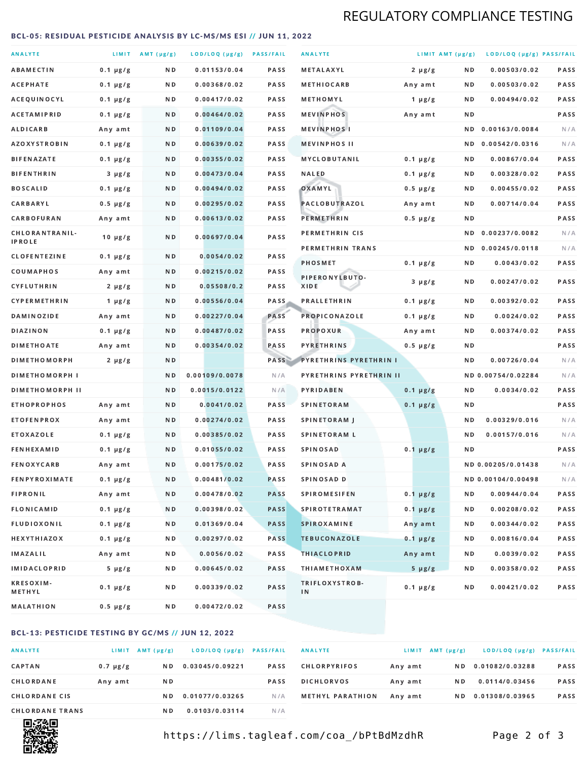# REGULATORY COMPLIANCE TESTING

#### <span id="page-1-0"></span>BCL-05: RESIDUAL PESTICIDE ANALYSIS BY LC-MS/MS ESI // JUN 11, 2022

| <b>ANALYTE</b>                  |               | LIMIT AMT (µg/g) | LOD/LOQ (µg/g) PASS/FAIL |             | <b>ANALYTE</b>                | LIMIT AMT (µg/g) |     | LOD/LOQ (µg/g) PASS/FAIL |             |
|---------------------------------|---------------|------------------|--------------------------|-------------|-------------------------------|------------------|-----|--------------------------|-------------|
| <b>ABAMECTIN</b>                | $0.1 \mu g/g$ | ND.              | 0.01153/0.04             | <b>PASS</b> | <b>METALAXYL</b>              | $2 \mu g/g$      | N D | 0.00503/0.02             | PASS        |
| ACEPHATE                        | $0.1 \mu g/g$ | N D              | 0.00368/0.02             | <b>PASS</b> | <b>METHIOCARB</b>             | Any amt          | N D | 0.00503/0.02             | PASS        |
| ACEQUINOCYL                     | $0.1 \mu g/g$ | N D              | 0.00417/0.02             | PASS        | METHOMYL                      | 1 $\mu$ g/g      | N D | 0.00494/0.02             | PASS        |
| <b>ACETAMIPRID</b>              | $0.1 \mu g/g$ | ND.              | 0.00464/0.02             | <b>PASS</b> | <b>MEVINPHOS</b>              | Any amt          | N D |                          | PASS        |
| <b>ALDICARB</b>                 | Any amt       | N D              | 0.01109/0.04             | <b>PASS</b> | <b>MEVINPHOSI</b>             |                  | N D | 0.00163/0.0084           | N/A         |
| <b>AZOXYSTROBIN</b>             | $0.1 \mu g/g$ | N D              | 0.00639/0.02             | <b>PASS</b> | <b>MEVINPHOS II</b>           |                  | ND. | 0.00542/0.0316           | N/A         |
| <b>BIFENAZATE</b>               | $0.1 \mu g/g$ | N D              | 0.00355/0.02             | <b>PASS</b> | <b>MYCLOBUTANIL</b>           | $0.1 \mu g/g$    | N D | 0.00867/0.04             | PASS        |
| <b>BIFENTHRIN</b>               | $3 \mu g/g$   | N D              | 0.00473/0.04             | <b>PASS</b> | <b>NALED</b>                  | $0.1 \mu g/g$    | N D | 0.00328/0.02             | PASS        |
| <b>BOSCALID</b>                 | $0.1 \mu g/g$ | ND.              | 0.00494/0.02             | PASS        | OXAMYL                        | $0.5 \mu g/g$    | N D | 0.00455/0.02             | <b>PASS</b> |
| CARBARYL                        | $0.5 \mu g/g$ | N D              | 0.00295/0.02             | PASS        | PACLOBUTRAZOL                 | Any amt          | N D | 0.00714/0.04             | PASS        |
| CARBOFURAN                      | Any amt       | N D              | 0.00613/0.02             | <b>PASS</b> | PERMETHRIN                    | $0.5 \mu g/g$    | N D |                          | PASS        |
| CHLORANTRANIL-<br><b>IPROLE</b> | $10 \mu g/g$  | N D              | 0.00697/0.04             | PASS        | PERMETHRIN CIS                |                  | N D | 0.00237/0.0082           | N/A         |
| <b>CLOFENTEZINE</b>             | $0.1 \mu g/g$ | ND               | 0.0054/0.02              | <b>PASS</b> | PERMETHRIN TRANS              |                  |     | ND 0.00245/0.0118        | N/A         |
| COUMAPHOS                       | Any amt       | N D              | 0.00215/0.02             | <b>PASS</b> | PHOSMET                       | $0.1 \mu g/g$    | N D | 0.0043/0.02              | PASS        |
| CYFLUTHRIN                      | $2 \mu g/g$   | ND.              | 0.05508/0.2              | <b>PASS</b> | PIPERONYLBUTO-<br>XIDE        | $3 \mu g/g$      | N D | 0.00247/0.02             | PASS        |
| <b>CYPERMETHRIN</b>             | 1 $\mu$ g/g   | N D              | 0.00556/0.04             | <b>PASS</b> | <b>PRALLETHRIN</b>            | $0.1 \mu g/g$    | N D | 0.00392/0.02             | PASS        |
| <b>DAMINOZIDE</b>               | Any amt       | ND.              | 0.00227/0.04             | PASS        | PROPICONAZOLE                 | $0.1 \mu g/g$    | N D | 0.0024/0.02              | PASS        |
| <b>DIAZINON</b>                 | $0.1 \mu g/g$ | N D              | 0.00487/0.02             | <b>PASS</b> | <b>PROPOXUR</b>               | Any amt          | N D | 0.00374/0.02             | PASS        |
| <b>DIMETHOATE</b>               | Any amt       | N D              | 0.00354/0.02             | PASS        | <b>PYRETHRINS</b>             | $0.5 \mu g/g$    | N D |                          | PASS        |
| <b>DIMETHOMORPH</b>             | $2 \mu g/g$   | N D              |                          | PASS        | <b>PYRETHRINS PYRETHRIN I</b> |                  | N D | 0.00726/0.04             | N/A         |
| <b>DIMETHOMORPH I</b>           |               | N D              | 0.00109/0.0078           | N/A         | PYRETHRINS PYRETHRIN II       |                  |     | ND 0.00754/0.02284       | N/A         |
| <b>DIMETHOMORPH II</b>          |               | ND               | 0.0015/0.0122            | N/A         | PYRIDABEN                     | $0.1 \mu g/g$    | N D | 0.0034/0.02              | PASS        |
| <b>ETHOPROPHOS</b>              | Any amt       | ND.              | 0.0041/0.02              | PASS        | <b>SPINETORAM</b>             | $0.1 \mu g/g$    | N D |                          | PASS        |
| <b>ETOFENPROX</b>               | Any amt       | N D              | 0.00274/0.02             | <b>PASS</b> | SPINETORAM J                  |                  | N D | 0.00329/0.016            | N/A         |
| <b>ETOXAZOLE</b>                | $0.1 \mu g/g$ | ND.              | 0.00385/0.02             | <b>PASS</b> | <b>SPINETORAM L</b>           |                  | N D | 0.00157/0.016            | N/A         |
| <b>FENHEXAMID</b>               | $0.1 \mu g/g$ | N D              | 0.01055/0.02             | PASS        | <b>SPINOSAD</b>               | $0.1 \mu g/g$    | N D |                          | PASS        |
| <b>FENOXYCARB</b>               | Any amt       | N D              | 0.00175/0.02             | <b>PASS</b> | <b>SPINOSAD A</b>             |                  |     | ND 0.00205/0.01438       | N/A         |
| <b>FENPYROXIMATE</b>            | $0.1 \mu g/g$ | N D              | 0.00481/0.02             | <b>PASS</b> | SPINOSAD D                    |                  |     | ND 0.00104/0.00498       | N/A         |
| <b>FIPRONIL</b>                 | Any amt       | N D              | 0.00478/0.02             | <b>PASS</b> | <b>SPIROMESIFEN</b>           | $0.1 \mu g/g$    | N D | 0.00944/0.04             | PASS        |
| <b>FLONICAMID</b>               | $0.1 \mu g/g$ | N D              | 0.00398/0.02             | <b>PASS</b> | <b>SPIROTETRAMAT</b>          | $0.1 \mu g/g$    | N D | 0.00208/0.02             | PASS        |
| FLUDIOXONIL                     | $0.1 \mu g/g$ | N D              | 0.01369/0.04             | <b>PASS</b> | SPIROXAMINE                   | Any amt          | N D | 0.00344/0.02             | PASS        |
| <b>HEXYTHIAZOX</b>              | $0.1 \mu g/g$ | N D              | 0.00297/0.02             | PASS        | <b>TEBUCONAZOLE</b>           | $0.1 \mu g/g$    | N D | 0.00816/0.04             | PASS        |
| IMAZALIL                        | Any amt       | N D              | 0.0056/0.02              | PASS        | <b>THIACLOPRID</b>            | Any amt          | N D | 0.0039/0.02              | PASS        |
| <b>IMIDACLOPRID</b>             | $5 \mu g/g$   | N D              | 0.00645/0.02             | PASS        | <b>THIAMETHOXAM</b>           | $5 \mu g/g$      | N D | 0.00358/0.02             | PASS        |
| <b>KRESOXIM-</b><br>METHYL      | $0.1 \mu g/g$ | N D              | 0.00339/0.02             | PASS        | TRIFLOXYSTROB-<br>IN          | $0.1 \mu g/g$    | N D | 0.00421/0.02             | PASS        |
| <b>MALATHION</b>                | 0.5 µg/g      | N D              | 0.00472/0.02             | PASS        |                               |                  |     |                          |             |

### BCL-13: PESTICIDE TESTING BY GC/MS // JUN 12, 2022

| <b>ANALYTE</b>         | LIMIT         | $AMT(\mu g/g)$ | LOD/LOQ (µg/g)  | <b>PASS/FAIL</b> |
|------------------------|---------------|----------------|-----------------|------------------|
| <b>CAPTAN</b>          | $0.7 \mu g/g$ | N D            | 0.03045/0.09221 | <b>PASS</b>      |
| CHLORDANE              | Any amt       | N D            |                 | <b>PASS</b>      |
| <b>CHLORDANE CIS</b>   |               | N D            | 0.01077/0.03265 | N / A            |
| <b>CHLORDANE TRANS</b> |               | ND.            | 0.0103/0.03114  | N / A            |

| <b>ANALYTE</b>          | LIMIT   | AMT (µg/g) | LOD/LOQ (µg/g)  | <b>PASS/FAIL</b> |
|-------------------------|---------|------------|-----------------|------------------|
| <b>CHLORPYRIFOS</b>     | Any amt | N D        | 0.01082/0.03288 | <b>PASS</b>      |
| <b>DICHLORVOS</b>       | Any amt | N D        | 0.0114/0.03456  | <b>PASS</b>      |
| <b>METHYL PARATHION</b> | Any amt | N D        | 0.01308/0.03965 | <b>PASS</b>      |